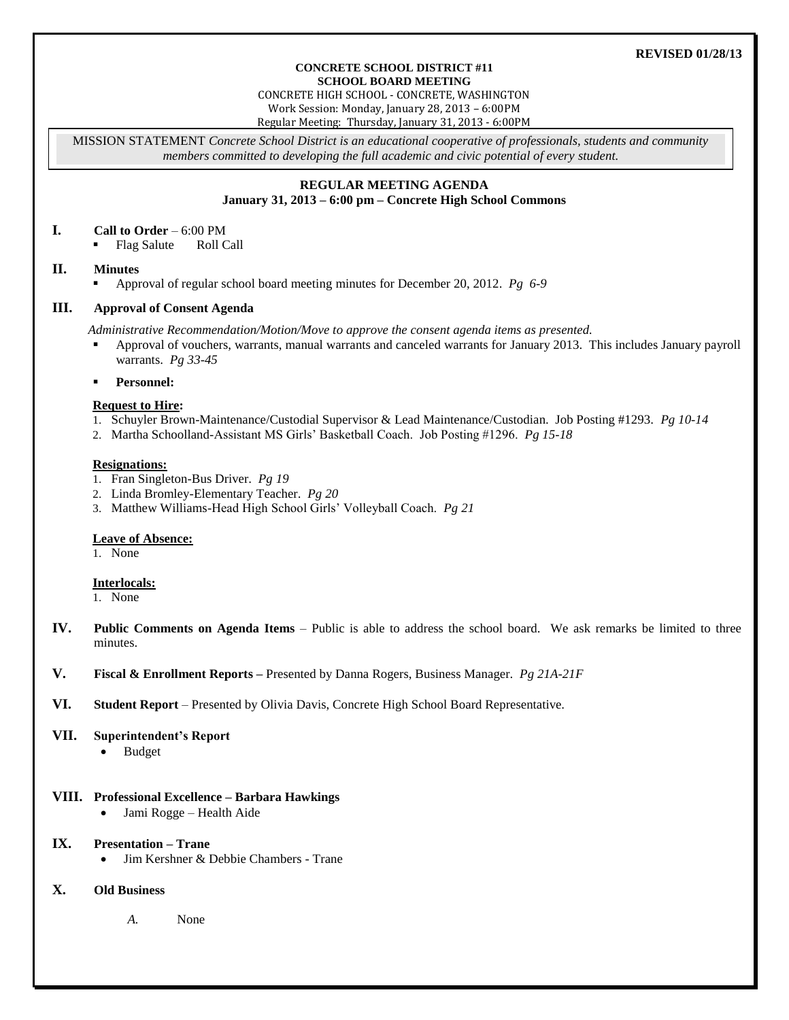#### **REVISED 01/28/13**

#### **CONCRETE SCHOOL DISTRICT #11 SCHOOL BOARD MEETING**

CONCRETE HIGH SCHOOL - CONCRETE, WASHINGTON Work Session: Monday, January 28, 2013 – 6:00PM

Regular Meeting: Thursday, January 31, 2013 - 6:00PM

MISSION STATEMENT *Concrete School District is an educational cooperative of professionals, students and community members committed to developing the full academic and civic potential of every student.*

### **REGULAR MEETING AGENDA January 31, 2013 – 6:00 pm – Concrete High School Commons**

#### **I. Call to Order** – 6:00 PM

Flag Salute Roll Call

### **II. Minutes**

Approval of regular school board meeting minutes for December 20, 2012. *Pg 6-9*

### **III. Approval of Consent Agenda**

*Administrative Recommendation/Motion/Move to approve the consent agenda items as presented.*

 Approval of vouchers, warrants, manual warrants and canceled warrants for January 2013. This includes January payroll warrants. *Pg 33-45*

#### **Personnel:**

#### **Request to Hire:**

- 1. Schuyler Brown-Maintenance/Custodial Supervisor & Lead Maintenance/Custodian. Job Posting #1293. *Pg 10-14*
- 2. Martha Schoolland-Assistant MS Girls' Basketball Coach. Job Posting #1296. *Pg 15-18*

#### **Resignations:**

- 1. Fran Singleton-Bus Driver. *Pg 19*
- 2. Linda Bromley-Elementary Teacher. *Pg 20*
- 3. Matthew Williams-Head High School Girls' Volleyball Coach. *Pg 21*

#### **Leave of Absence:**

1. None

#### **Interlocals:**

1. None

- **IV. Public Comments on Agenda Items** Public is able to address the school board. We ask remarks be limited to three minutes.
- **V. Fiscal & Enrollment Reports –** Presented by Danna Rogers, Business Manager. *Pg 21A-21F*
- **VI. Student Report** Presented by Olivia Davis, Concrete High School Board Representative.

#### **VII. Superintendent's Report**

Budget

#### **VIII. Professional Excellence – Barbara Hawkings**

Jami Rogge – Health Aide

## **IX. Presentation – Trane**

Jim Kershner & Debbie Chambers - Trane

#### **X. Old Business**

*A.* None